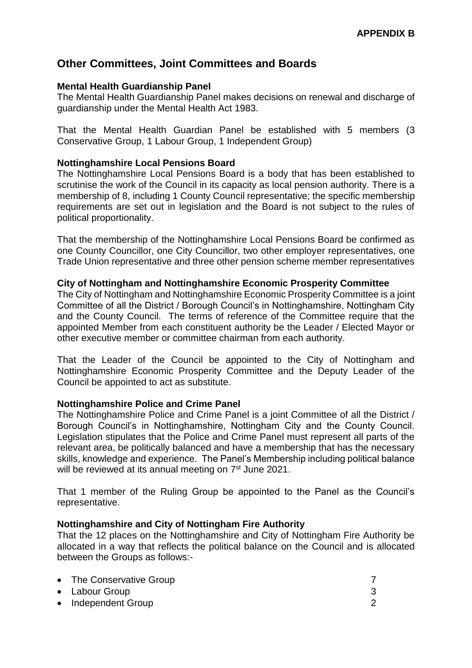# **Other Committees, Joint Committees and Boards**

# **Mental Health Guardianship Panel**

The Mental Health Guardianship Panel makes decisions on renewal and discharge of guardianship under the Mental Health Act 1983.

That the Mental Health Guardian Panel be established with 5 members (3 Conservative Group, 1 Labour Group, 1 Independent Group)

## **Nottinghamshire Local Pensions Board**

The Nottinghamshire Local Pensions Board is a body that has been established to scrutinise the work of the Council in its capacity as local pension authority. There is a membership of 8, including 1 County Council representative; the specific membership requirements are set out in legislation and the Board is not subject to the rules of political proportionality.

That the membership of the Nottinghamshire Local Pensions Board be confirmed as one County Councillor, one City Councillor, two other employer representatives, one Trade Union representative and three other pension scheme member representatives

### **City of Nottingham and Nottinghamshire Economic Prosperity Committee**

The City of Nottingham and Nottinghamshire Economic Prosperity Committee is a joint Committee of all the District / Borough Council's in Nottinghamshire, Nottingham City and the County Council. The terms of reference of the Committee require that the appointed Member from each constituent authority be the Leader / Elected Mayor or other executive member or committee chairman from each authority.

That the Leader of the Council be appointed to the City of Nottingham and Nottinghamshire Economic Prosperity Committee and the Deputy Leader of the Council be appointed to act as substitute.

# **Nottinghamshire Police and Crime Panel**

The Nottinghamshire Police and Crime Panel is a joint Committee of all the District / Borough Council's in Nottinghamshire, Nottingham City and the County Council. Legislation stipulates that the Police and Crime Panel must represent all parts of the relevant area, be politically balanced and have a membership that has the necessary skills, knowledge and experience. The Panel's Membership including political balance will be reviewed at its annual meeting on 7<sup>st</sup> June 2021.

That 1 member of the Ruling Group be appointed to the Panel as the Council's representative.

# **Nottinghamshire and City of Nottingham Fire Authority**

That the 12 places on the Nottinghamshire and City of Nottingham Fire Authority be allocated in a way that reflects the political balance on the Council and is allocated between the Groups as follows:-

| • The Conservative Group |  |
|--------------------------|--|
| • Labour Group           |  |
| • Independent Group      |  |